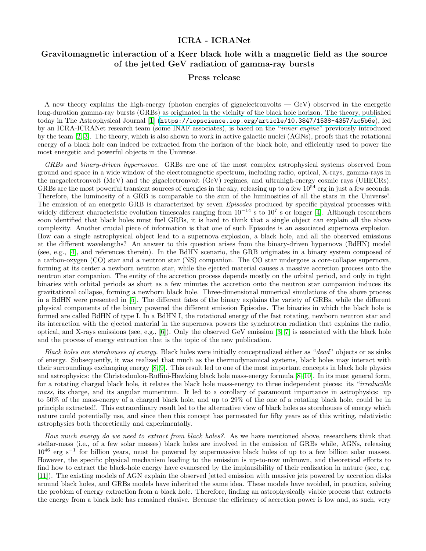## ICRA - ICRANet

## Gravitomagnetic interaction of a Kerr black hole with a magnetic field as the source of the jetted GeV radiation of gamma-ray bursts

## Press release

A new theory explains the high-energy (photon energies of gigaelectronvolts — GeV) observed in the energetic long-duration gamma-ray bursts (GRBs) as originated in the vicinity of the black hole horizon. The theory, published today in The Astrophysical Journal [\[1\]](#page-2-0) (<https://iopscience.iop.org/article/10.3847/1538-4357/ac5b6e>), led by an ICRA-ICRANet research team (some INAF associates), is based on the "inner engine" previously introduced by the team [\[2,](#page-2-1) [3\]](#page-2-2). The theory, which is also shown to work in active galactic nuclei (AGNs), proofs that the rotational energy of a black hole can indeed be extracted from the horizon of the black hole, and efficiently used to power the most energetic and powerful objects in the Universe.

GRBs and binary-driven hypernovae. GRBs are one of the most complex astrophysical systems observed from ground and space in a wide window of the electromagnetic spectrum, including radio, optical, X-rays, gamma-rays in the megaelectronvolt (MeV) and the gigaelectronvolt (GeV) regimes, and ultrahigh-energy cosmic rays (UHECRs). GRBs are the most powerful transient sources of energies in the sky, releasing up to a few  $10^{54}$  erg in just a few seconds. Therefore, the luminosity of a GRB is comparable to the sum of the luminosities of all the stars in the Universe!. The emission of an energetic GRB is characterized by seven Episodes produced by specific physical processes with widely different characteristic evolution timescales ranging from  $10^{-14}$  s to  $10^7$  s or longer [\[4\]](#page-2-3). Although researchers soon identified that black holes must fuel GRBs, it is hard to think that a single object can explain all the above complexity. Another crucial piece of information is that one of such Episodes is an associated supernova explosion. How can a single astrophysical object lead to a supernova explosion, a black hole, and all the observed emissions at the different wavelengths? An answer to this question arises from the binary-driven hypernova (BdHN) model (see, e.g., [\[4\]](#page-2-3), and references therein). In the BdHN scenario, the GRB originates in a binary system composed of a carbon-oxygen (CO) star and a neutron star (NS) companion. The CO star undergoes a core-collapse supernova, forming at its center a newborn neutron star, while the ejected material causes a massive accretion process onto the neutron star companion. The entity of the accretion process depends mostly on the orbital period, and only in tight binaries with orbital periods as short as a few minutes the accretion onto the neutron star companion induces its gravitational collapse, forming a newborn black hole. Three-dimensional numerical simulations of the above process in a BdHN were presented in [\[5\]](#page-2-4). The different fates of the binary explains the variety of GRBs, while the different physical components of the binary powered the different emission Episodes. The binaries in which the black hole is formed are called BdHN of type I. In a BdHN I, the rotational energy of the fast rotating, newborn neutron star and its interaction with the ejected material in the supernova powers the synchrotron radiation that explains the radio, optical, and X-rays emissions (see, e.g., [\[6\]](#page-2-5)). Only the observed GeV emission [\[3,](#page-2-2) [7\]](#page-2-6) is associated with the black hole and the process of energy extraction that is the topic of the new publication.

Black holes are storehouses of energy. Black holes were initially conceptualized either as "dead" objects or as sinks of energy. Subsequently, it was realized that much as the thermodynamical systems, black holes may interact with their surroundings exchanging energy [\[8,](#page-2-7) [9\]](#page-2-8). This result led to one of the most important concepts in black hole physics and astrophysics: the Christodoulou-Ruffini-Hawking black hole mass-energy formula [\[8–](#page-2-7)[10\]](#page-2-9). In its most general form, for a rotating charged black hole, it relates the black hole mass-energy to three independent pieces: its "irreducible mass, its charge, and its angular momentum. It led to a corollary of paramount importance in astrophysics: up to 50% of the mass-energy of a charged black hole, and up to 29% of the one of a rotating black hole, could be in principle extracted!. This extraordinary result led to the alternative view of black holes as storehouses of energy which nature could potentially use, and since then this concept has permeated for fifty years as of this writing, relativistic astrophysics both theoretically and experimentally.

How much energy do we need to extract from black holes?. As we have mentioned above, researchers think that stellar-mass (i.e., of a few solar masses) black holes are involved in the emission of GRBs while, AGNs, releasing  $10^{46}$  erg s<sup>-1</sup> for billion years, must be powered by supermassive black holes of up to a few billion solar masses. However, the specific physical mechanism leading to the emission is up-to-now unknown, and theoretical efforts to find how to extract the black-hole energy have evanesced by the implausibility of their realization in nature (see, e.g. [\[11\]](#page-2-10)). The existing models of AGN explain the observed jetted emission with massive jets powered by accretion disks around black holes, and GRBs models have inherited the same idea. These models have avoided, in practice, solving the problem of energy extraction from a black hole. Therefore, finding an astrophysically viable process that extracts the energy from a black hole has remained elusive. Because the efficiency of accretion power is low and, as such, very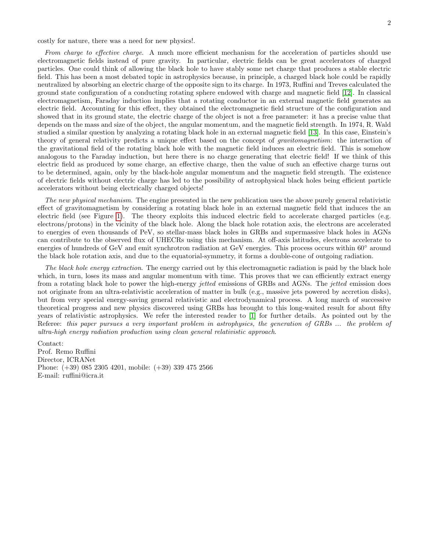costly for nature, there was a need for new physics!.

From charge to effective charge. A much more efficient mechanism for the acceleration of particles should use electromagnetic fields instead of pure gravity. In particular, electric fields can be great accelerators of charged particles. One could think of allowing the black hole to have stably some net charge that produces a stable electric field. This has been a most debated topic in astrophysics because, in principle, a charged black hole could be rapidly neutralized by absorbing an electric charge of the opposite sign to its charge. In 1973, Ruffini and Treves calculated the ground state configuration of a conducting rotating sphere endowed with charge and magnetic field [\[12\]](#page-2-11). In classical electromagnetism, Faraday induction implies that a rotating conductor in an external magnetic field generates an electric field. Accounting for this effect, they obtained the electromagnetic field structure of the configuration and showed that in its ground state, the electric charge of the object is not a free parameter: it has a precise value that depends on the mass and size of the object, the angular momentum, and the magnetic field strength. In 1974, R. Wald studied a similar question by analyzing a rotating black hole in an external magnetic field [\[13\]](#page-2-12). In this case, Einstein's theory of general relativity predicts a unique effect based on the concept of *gravitomagnetism*: the interaction of the gravitational field of the rotating black hole with the magnetic field induces an electric field. This is somehow analogous to the Faraday induction, but here there is no charge generating that electric field! If we think of this electric field as produced by some charge, an effective charge, then the value of such an effective charge turns out to be determined, again, only by the black-hole angular momentum and the magnetic field strength. The existence of electric fields without electric charge has led to the possibility of astrophysical black holes being efficient particle accelerators without being electrically charged objects!

The new physical mechanism. The engine presented in the new publication uses the above purely general relativistic effect of gravitomagnetism by considering a rotating black hole in an external magnetic field that induces the an electric field (see Figure [1\)](#page-2-13). The theory exploits this induced electric field to accelerate charged particles (e.g. electrons/protons) in the vicinity of the black hole. Along the black hole rotation axis, the electrons are accelerated to energies of even thousands of PeV, so stellar-mass black holes in GRBs and supermassive black holes in AGNs can contribute to the observed flux of UHECRs using this mechanism. At off-axis latitudes, electrons accelerate to energies of hundreds of GeV and emit synchrotron radiation at GeV energies. This process occurs within 60° around the black hole rotation axis, and due to the equatorial-symmetry, it forms a double-cone of outgoing radiation.

The black hole energy extraction. The energy carried out by this electromagnetic radiation is paid by the black hole which, in turn, loses its mass and angular momentum with time. This proves that we can efficiently extract energy from a rotating black hole to power the high-energy jetted emissions of GRBs and AGNs. The jetted emission does not originate from an ultra-relativistic acceleration of matter in bulk (e.g., massive jets powered by accretion disks), but from very special energy-saving general relativistic and electrodynamical process. A long march of successive theoretical progress and new physics discovered using GRBs has brought to this long-waited result for about fifty years of relativistic astrophysics. We refer the interested reader to [\[1\]](#page-2-0) for further details. As pointed out by the Referee: this paper pursues a very important problem in astrophysics, the generation of GRBs ... the problem of ultra-high energy radiation production using clean general relativistic approach.

Contact: Prof. Remo Ruffini Director, ICRANet Phone: (+39) 085 2305 4201, mobile: (+39) 339 475 2566 E-mail: ruffini@icra.it